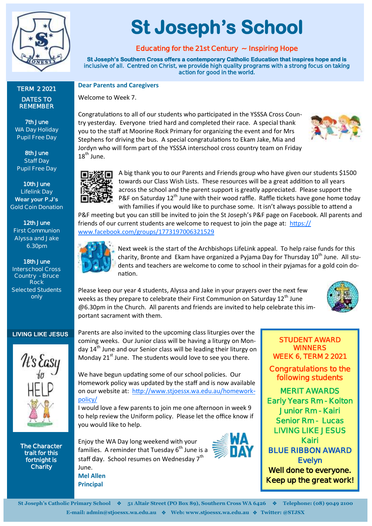

**TERM 2 2021 DATES TO REMEMBER**

**7th June WA Day Holiday Pupil Free Day**

**8th June Staff Day Pupil Free Day**

**10th June Lifelink Day Wear your P.J's Gold Coin Donation**

**12th June First Communion Alyssa and Jake 6.30pm**

**18th June Interschool Cross Country - Bruce Rock Selected Students only**

#### **LIVING LIKE JESUS**



**The Character trait for this fortnight is Charity** 

# **St Joseph's School**

# **Educating for the 21st Century ~ Inspiring Hope**

**St Joseph's Southern Cross offers a contemporary Catholic Education that inspires hope and is inclusive of all. Centred on Christ, we provide high quality programs with a strong focus on taking action for good in the world.** 

#### **Dear Parents and Caregivers**

Welcome to Week 7.

Congratulations to all of our students who participated in the YSSSA Cross Country yesterday. Everyone tried hard and completed their race. A special thank you to the staff at Moorine Rock Primary for organizing the event and for Mrs Stephens for driving the bus. A special congratulations to Ekam Jake, Mia and Jordyn who will form part of the YSSSA interschool cross country team on Friday  $18^{th}$  June.





A big thank you to our Parents and Friends group who have given our students \$1500 towards our Class Wish Lists. These resources will be a great addition to all years across the school and the parent support is greatly appreciated. Please support the P&F on Saturday  $12<sup>th</sup>$  June with their wood raffle. Raffle tickets have gone home today with families if you would like to purchase some. It isn't always possible to attend a

P&F meeting but you can still be invited to join the St Joseph's P&F page on Facebook. All parents and friends of our current students are welcome to request to join the page at: [https://](https://www.facebook.com/groups/1773197006321529) [www.facebook.com/groups/1773197006321529](https://www.facebook.com/groups/1773197006321529)



**Mel Allen Principal**

Next week is the start of the Archbishops LifeLink appeal. To help raise funds for this charity, Bronte and Ekam have organized a Pyjama Day for Thursday 10<sup>th</sup> June. All students and teachers are welcome to come to school in their pyjamas for a gold coin donation.

Please keep our year 4 students, Alyssa and Jake in your prayers over the next few weeks as they prepare to celebrate their First Communion on Saturday  $12<sup>th</sup>$  June @6.30pm in the Church. All parents and friends are invited to help celebrate this important sacrament with them.



#### **STUDENT AWARD WINNERS WEEK 6, TERM 2 2021**

**Congratulations to the following students** 

**MERIT AWARDS Early Years Rm - Kolton Junior Rm - Kairi Senior Rm - Lucas LIVING LIKE JESUS Kairi BLUE RIBBON AWARD Evelyn Well done to everyone. Keep up the great work!**

Parents are also invited to the upcoming class liturgies over the coming weeks. Our Junior class will be having a liturgy on Monday  $14<sup>th</sup>$  June and our Senior class will be leading their liturgy on Monday  $21^{st}$  June. The students would love to see you there.

We have begun updating some of our school policies. Our Homework policy was updated by the staff and is now available on our website at: [http://www.stjoessx.wa.edu.au/homework](http://www.stjoessx.wa.edu.au/homework-policy/)[policy/](http://www.stjoessx.wa.edu.au/homework-policy/)

I would love a few parents to join me one afternoon in week 9 to help review the Uniform policy. Please let the office know if you would like to help.

Enjoy the WA Day long weekend with your families. A reminder that Tuesday  $6<sup>th</sup>$  June is a staff day. School resumes on Wednesday 7<sup>th</sup> June.

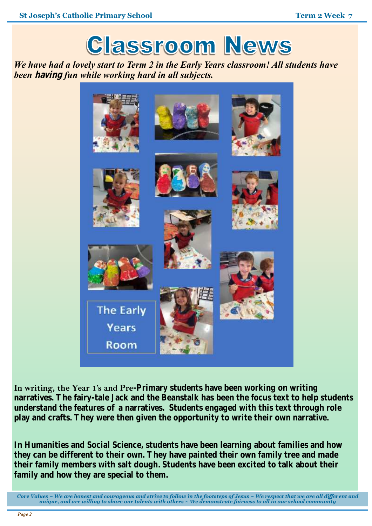

*We have had a lovely start to Term 2 in the Early Years classroom! All students have been* **having** *fun while working hard in all subjects.*



In writing, the Year 1's and Pre-Primary students have been working on writing **narratives. The fairy-tale Jack and the Beanstalk has been the focus text to help students understand the features of a narratives. Students engaged with this text through role play and crafts. They were then given the opportunity to write their own narrative.**

**In Humanities and Social Science, students have been learning about families and how they can be different to their own. They have painted their own family tree and made their family members with salt dough. Students have been excited to talk about their family and how they are special to them.** 

*Core Values ~ We are honest and courageous and strive to follow in the footsteps of Jesus ~ We respect that we are all different and unique, and are willing to share our talents with others ~ We demonstrate fairness to all in our school community*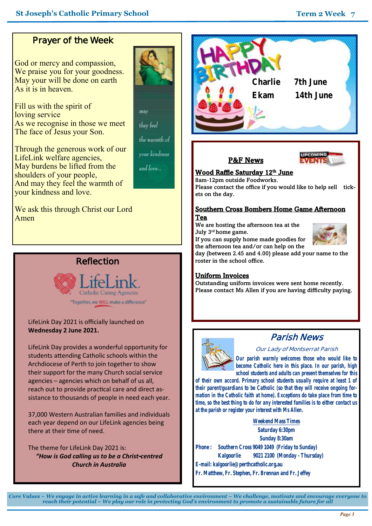# **Prayer of the Week**

God or mercy and compassion, We praise you for your goodness. May your will be done on earth As it is in heaven.

Fill us with the spirit of loving service As we recognise in those we meet The face of Jesus your Son.

may

they feel

the warmth of

vour kindness

and love...

Through the generous work of our LifeLink welfare agencies, May burdens be lifted from the shoulders of your people, And may they feel the warmth of your kindness and love.

We ask this through Christ our Lord Amen

# **Reflection**



LifeLink Day 2021 is officially launched on **Wednesday 2 June 2021.**

LifeLink Day provides a wonderful opportunity for students attending Catholic schools within the Archdiocese of Perth to join together to show their support for the many Church social service agencies – agencies which on behalf of us all, reach out to provide practical care and direct assistance to thousands of people in need each year.

37,000 Western Australian families and individuals each year depend on our LifeLink agencies being there at their time of need.

The theme for LifeLink Day 2021 is: *"How is God calling us to be a Christ-centred Church in Australia*



# P&F News



#### <u>Wood Raffle Saturday 12th June</u>

8am-12pm outside Foodworks. Please contact the office if you would like to help sell tickets on the day.

#### Southern Cross Bombers Home Game Afternoon Tea

We are hosting the afternoon tea at the July 3rd home game. If you can supply home made goodies for



the afternoon tea and/or can help on the day (between 2.45 and 4.00) please add your name to the roster in the school office.

#### Uniform Invoices

Outstanding uniform invoices were sent home recently. Please contact Ms Allen if you are having difficulty paying.



# **Parish News**

#### **Our Lady of Montserrat Parish**

*Our parish warmly welcomes those who would like to become Catholic here in this place. In our parish, high school students and adults can present themselves for this* 

*of their own accord. Primary school students usually require at least 1 of their parent/guardians to be Catholic (so that they will receive ongoing formation in the Catholic faith at home). Exceptions do take place from time to time, so the best thing to do for any interested families is to either contact us at the parish or register your interest with Ms Allen.*

**Weekend Mass Times Saturday 6:30pm Sunday 8:30am Phone : Southern Cross 9049 1049 (Friday to Sunday) Kalgoorlie 9021 2100 (Monday - Thursday) E-mail: kalgoorlie@perthcatholic.org.au Fr. Matthew, Fr. Stephen, Fr. Brennan and Fr. Jeffey**

*Core Values ~ We engage in active learning in a safe and collaborative environment ~ We challenge, motivate and encourage everyone to reach their potential ~ We play our role in protecting God's environment to promote a sustainable future for all*